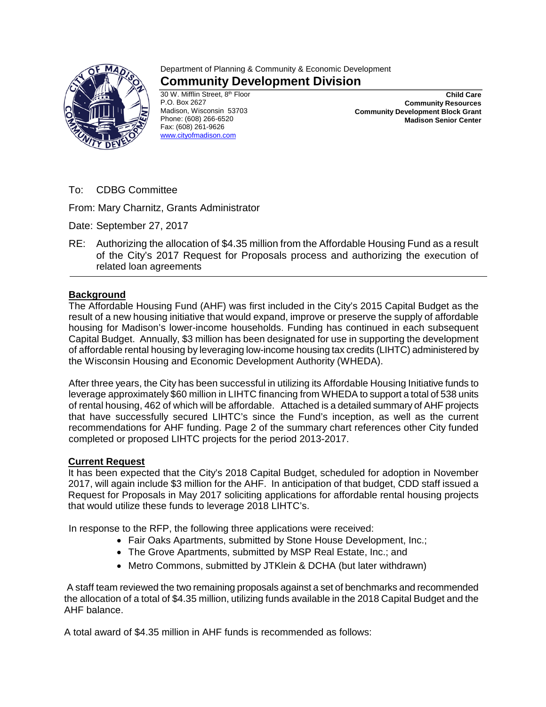

## Department of Planning & Community & Economic Development **Community Development Division**

30 W. Mifflin Street, 8<sup>th</sup> Floor P.O. Box 2627 Madison, Wisconsin 53703 Phone: (608) 266-6520 Fax: (608) 261-9626 [www.cityofmadison.com](http://www.cityofmadison.com/)

**Child Care Community Resources Community Development Block Grant Madison Senior Center**

To: CDBG Committee

From: Mary Charnitz, Grants Administrator

Date: September 27, 2017

RE: Authorizing the allocation of \$4.35 million from the Affordable Housing Fund as a result of the City's 2017 Request for Proposals process and authorizing the execution of related loan agreements

## **Background**

The Affordable Housing Fund (AHF) was first included in the City's 2015 Capital Budget as the result of a new housing initiative that would expand, improve or preserve the supply of affordable housing for Madison's lower-income households. Funding has continued in each subsequent Capital Budget. Annually, \$3 million has been designated for use in supporting the development of affordable rental housing by leveraging low-income housing tax credits (LIHTC) administered by the Wisconsin Housing and Economic Development Authority (WHEDA).

After three years, the City has been successful in utilizing its Affordable Housing Initiative funds to leverage approximately \$60 million in LIHTC financing from WHEDA to support a total of 538 units of rental housing, 462 of which will be affordable. Attached is a detailed summary of AHF projects that have successfully secured LIHTC's since the Fund's inception, as well as the current recommendations for AHF funding. Page 2 of the summary chart references other City funded completed or proposed LIHTC projects for the period 2013-2017.

## **Current Request**

It has been expected that the City's 2018 Capital Budget, scheduled for adoption in November 2017, will again include \$3 million for the AHF. In anticipation of that budget, CDD staff issued a Request for Proposals in May 2017 soliciting applications for affordable rental housing projects that would utilize these funds to leverage 2018 LIHTC's.

In response to the RFP, the following three applications were received:

- Fair Oaks Apartments, submitted by Stone House Development, Inc.;
- The Grove Apartments, submitted by MSP Real Estate, Inc.; and
- Metro Commons, submitted by JTKlein & DCHA (but later withdrawn)

A staff team reviewed the two remaining proposals against a set of benchmarks and recommended the allocation of a total of \$4.35 million, utilizing funds available in the 2018 Capital Budget and the AHF balance.

A total award of \$4.35 million in AHF funds is recommended as follows: